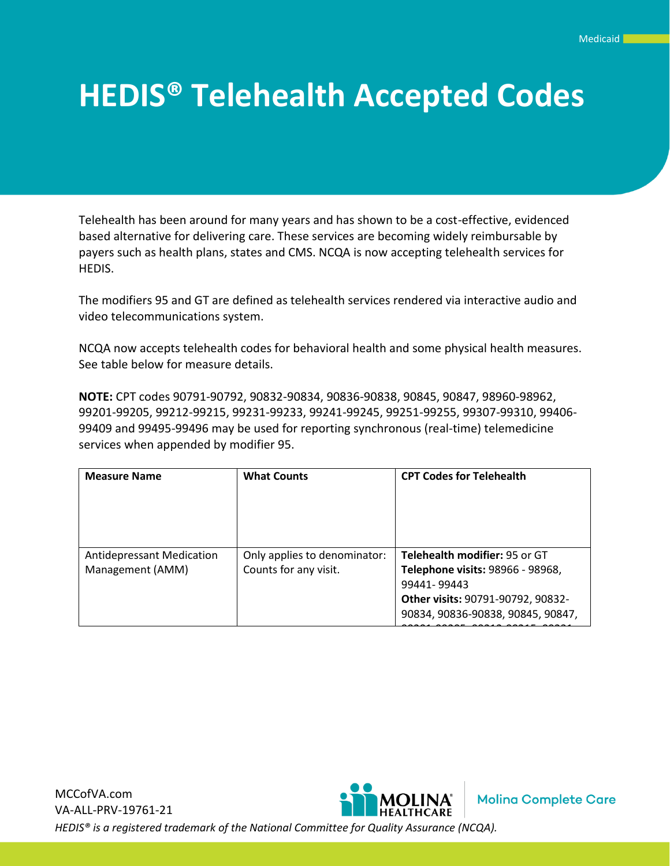## **HEDIS® Telehealth Accepted Codes**

Telehealth has been around for many years and has shown to be a cost-effective, evidenced based alternative for delivering care. These services are becoming widely reimbursable by payers such as health plans, states and CMS. NCQA is now accepting telehealth services for HEDIS.

The modifiers 95 and GT are defined as telehealth services rendered via interactive audio and video telecommunications system.

NCQA now accepts telehealth codes for behavioral health and some physical health measures. See table below for measure details.

**NOTE:** CPT codes 90791-90792, 90832-90834, 90836-90838, 90845, 90847, 98960-98962, 99201-99205, 99212-99215, 99231-99233, 99241-99245, 99251-99255, 99307-99310, 99406- 99409 and 99495-99496 may be used for reporting synchronous (real-time) telemedicine services when appended by modifier 95.

| <b>Measure Name</b>                                  | <b>What Counts</b>                                    | <b>CPT Codes for Telehealth</b>                                                                                                                            |
|------------------------------------------------------|-------------------------------------------------------|------------------------------------------------------------------------------------------------------------------------------------------------------------|
| <b>Antidepressant Medication</b><br>Management (AMM) | Only applies to denominator:<br>Counts for any visit. | Telehealth modifier: 95 or GT<br>Telephone visits: 98966 - 98968,<br>99441-99443<br>Other visits: 90791-90792, 90832-<br>90834, 90836-90838, 90845, 90847, |

MCCofVA.com **Molina Complete Care** VA-ALL-PRV-19761-21 *HEDIS® is a registered trademark of the National Committee for Quality Assurance (NCQA).*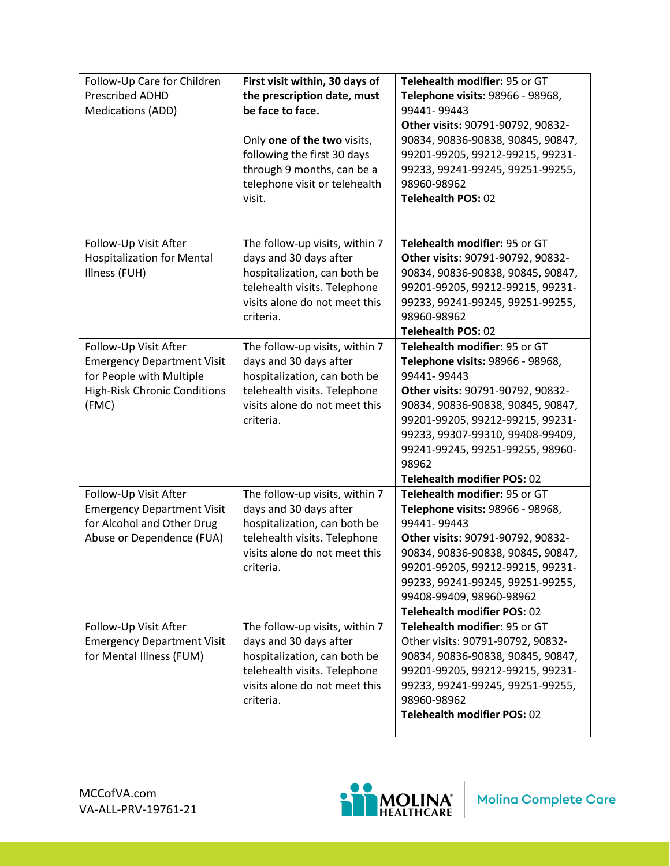| Follow-Up Care for Children<br>Prescribed ADHD<br><b>Medications (ADD)</b>                                                             | First visit within, 30 days of<br>the prescription date, must<br>be face to face.<br>Only one of the two visits,<br>following the first 30 days<br>through 9 months, can be a<br>telephone visit or telehealth<br>visit. | Telehealth modifier: 95 or GT<br>Telephone visits: 98966 - 98968,<br>99441-99443<br>Other visits: 90791-90792, 90832-<br>90834, 90836-90838, 90845, 90847,<br>99201-99205, 99212-99215, 99231-<br>99233, 99241-99245, 99251-99255,<br>98960-98962<br><b>Telehealth POS: 02</b>                                 |
|----------------------------------------------------------------------------------------------------------------------------------------|--------------------------------------------------------------------------------------------------------------------------------------------------------------------------------------------------------------------------|----------------------------------------------------------------------------------------------------------------------------------------------------------------------------------------------------------------------------------------------------------------------------------------------------------------|
| Follow-Up Visit After<br><b>Hospitalization for Mental</b><br>Illness (FUH)                                                            | The follow-up visits, within 7<br>days and 30 days after<br>hospitalization, can both be<br>telehealth visits. Telephone<br>visits alone do not meet this<br>criteria.                                                   | Telehealth modifier: 95 or GT<br>Other visits: 90791-90792, 90832-<br>90834, 90836-90838, 90845, 90847,<br>99201-99205, 99212-99215, 99231-<br>99233, 99241-99245, 99251-99255,<br>98960-98962<br><b>Telehealth POS: 02</b>                                                                                    |
| Follow-Up Visit After<br><b>Emergency Department Visit</b><br>for People with Multiple<br><b>High-Risk Chronic Conditions</b><br>(FMC) | The follow-up visits, within 7<br>days and 30 days after<br>hospitalization, can both be<br>telehealth visits. Telephone<br>visits alone do not meet this<br>criteria.                                                   | Telehealth modifier: 95 or GT<br>Telephone visits: 98966 - 98968,<br>99441-99443<br>Other visits: 90791-90792, 90832-<br>90834, 90836-90838, 90845, 90847,<br>99201-99205, 99212-99215, 99231-<br>99233, 99307-99310, 99408-99409,<br>99241-99245, 99251-99255, 98960-<br>98962<br>Telehealth modifier POS: 02 |
| Follow-Up Visit After<br><b>Emergency Department Visit</b><br>for Alcohol and Other Drug<br>Abuse or Dependence (FUA)                  | The follow-up visits, within 7<br>days and 30 days after<br>hospitalization, can both be<br>telehealth visits. Telephone<br>visits alone do not meet this<br>criteria.                                                   | Telehealth modifier: 95 or GT<br>Telephone visits: 98966 - 98968,<br>99441-99443<br>Other visits: 90791-90792, 90832-<br>90834, 90836-90838, 90845, 90847,<br>99201-99205, 99212-99215, 99231-<br>99233, 99241-99245, 99251-99255,<br>99408-99409, 98960-98962<br>Telehealth modifier POS: 02                  |
| Follow-Up Visit After<br><b>Emergency Department Visit</b><br>for Mental Illness (FUM)                                                 | The follow-up visits, within 7<br>days and 30 days after<br>hospitalization, can both be<br>telehealth visits. Telephone<br>visits alone do not meet this<br>criteria.                                                   | Telehealth modifier: 95 or GT<br>Other visits: 90791-90792, 90832-<br>90834, 90836-90838, 90845, 90847,<br>99201-99205, 99212-99215, 99231-<br>99233, 99241-99245, 99251-99255,<br>98960-98962<br>Telehealth modifier POS: 02                                                                                  |

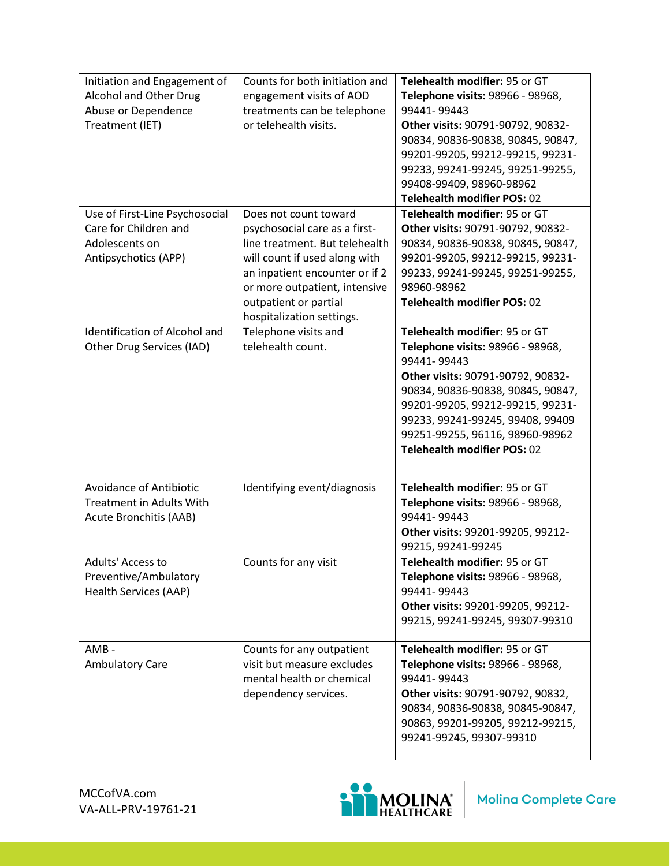| Initiation and Engagement of<br>Alcohol and Other Drug<br>Abuse or Dependence<br>Treatment (IET)  | Counts for both initiation and<br>engagement visits of AOD<br>treatments can be telephone<br>or telehealth visits.                                                                                                                                 | Telehealth modifier: 95 or GT<br>Telephone visits: 98966 - 98968,<br>99441-99443<br>Other visits: 90791-90792, 90832-<br>90834, 90836-90838, 90845, 90847,<br>99201-99205, 99212-99215, 99231-<br>99233, 99241-99245, 99251-99255,<br>99408-99409, 98960-98962<br>Telehealth modifier POS: 02        |
|---------------------------------------------------------------------------------------------------|----------------------------------------------------------------------------------------------------------------------------------------------------------------------------------------------------------------------------------------------------|------------------------------------------------------------------------------------------------------------------------------------------------------------------------------------------------------------------------------------------------------------------------------------------------------|
| Use of First-Line Psychosocial<br>Care for Children and<br>Adolescents on<br>Antipsychotics (APP) | Does not count toward<br>psychosocial care as a first-<br>line treatment. But telehealth<br>will count if used along with<br>an inpatient encounter or if 2<br>or more outpatient, intensive<br>outpatient or partial<br>hospitalization settings. | Telehealth modifier: 95 or GT<br>Other visits: 90791-90792, 90832-<br>90834, 90836-90838, 90845, 90847,<br>99201-99205, 99212-99215, 99231-<br>99233, 99241-99245, 99251-99255,<br>98960-98962<br><b>Telehealth modifier POS: 02</b>                                                                 |
| <b>Identification of Alcohol and</b><br>Other Drug Services (IAD)                                 | Telephone visits and<br>telehealth count.                                                                                                                                                                                                          | Telehealth modifier: 95 or GT<br>Telephone visits: 98966 - 98968,<br>99441-99443<br>Other visits: 90791-90792, 90832-<br>90834, 90836-90838, 90845, 90847,<br>99201-99205, 99212-99215, 99231-<br>99233, 99241-99245, 99408, 99409<br>99251-99255, 96116, 98960-98962<br>Telehealth modifier POS: 02 |
| Avoidance of Antibiotic<br><b>Treatment in Adults With</b><br>Acute Bronchitis (AAB)              | Identifying event/diagnosis                                                                                                                                                                                                                        | Telehealth modifier: 95 or GT<br>Telephone visits: 98966 - 98968,<br>99441-99443<br>Other visits: 99201-99205, 99212-<br>99215, 99241-99245                                                                                                                                                          |
| Adults' Access to<br>Preventive/Ambulatory<br>Health Services (AAP)                               | Counts for any visit                                                                                                                                                                                                                               | Telehealth modifier: 95 or GT<br>Telephone visits: 98966 - 98968,<br>99441-99443<br>Other visits: 99201-99205, 99212-<br>99215, 99241-99245, 99307-99310                                                                                                                                             |
| AMB-<br><b>Ambulatory Care</b>                                                                    | Counts for any outpatient<br>visit but measure excludes<br>mental health or chemical<br>dependency services.                                                                                                                                       | Telehealth modifier: 95 or GT<br>Telephone visits: 98966 - 98968,<br>99441-99443<br>Other visits: 90791-90792, 90832,<br>90834, 90836-90838, 90845-90847,<br>90863, 99201-99205, 99212-99215,<br>99241-99245, 99307-99310                                                                            |

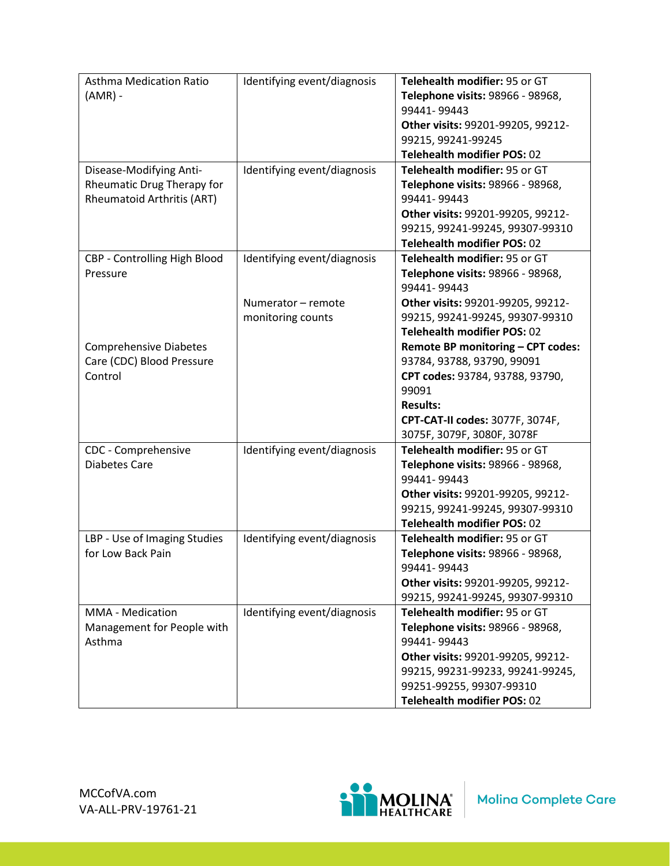| <b>Asthma Medication Ratio</b><br>$(AMR)$ -                                                | Identifying event/diagnosis                                            | Telehealth modifier: 95 or GT<br>Telephone visits: 98966 - 98968,<br>99441-99443<br>Other visits: 99201-99205, 99212-<br>99215, 99241-99245<br>Telehealth modifier POS: 02                                                            |
|--------------------------------------------------------------------------------------------|------------------------------------------------------------------------|---------------------------------------------------------------------------------------------------------------------------------------------------------------------------------------------------------------------------------------|
| Disease-Modifying Anti-<br>Rheumatic Drug Therapy for<br><b>Rheumatoid Arthritis (ART)</b> | Identifying event/diagnosis                                            | Telehealth modifier: 95 or GT<br>Telephone visits: 98966 - 98968,<br>99441-99443<br>Other visits: 99201-99205, 99212-<br>99215, 99241-99245, 99307-99310<br>Telehealth modifier POS: 02                                               |
| CBP - Controlling High Blood<br>Pressure                                                   | Identifying event/diagnosis<br>Numerator - remote<br>monitoring counts | Telehealth modifier: 95 or GT<br>Telephone visits: 98966 - 98968,<br>99441-99443<br>Other visits: 99201-99205, 99212-<br>99215, 99241-99245, 99307-99310                                                                              |
| <b>Comprehensive Diabetes</b><br>Care (CDC) Blood Pressure<br>Control                      |                                                                        | <b>Telehealth modifier POS: 02</b><br>Remote BP monitoring - CPT codes:<br>93784, 93788, 93790, 99091<br>CPT codes: 93784, 93788, 93790,<br>99091<br><b>Results:</b><br>CPT-CAT-II codes: 3077F, 3074F,<br>3075F, 3079F, 3080F, 3078F |
| CDC - Comprehensive<br><b>Diabetes Care</b>                                                | Identifying event/diagnosis                                            | Telehealth modifier: 95 or GT<br>Telephone visits: 98966 - 98968,<br>99441-99443<br>Other visits: 99201-99205, 99212-<br>99215, 99241-99245, 99307-99310<br>Telehealth modifier POS: 02                                               |
| LBP - Use of Imaging Studies<br>for Low Back Pain                                          | Identifying event/diagnosis                                            | Telehealth modifier: 95 or GT<br>Telephone visits: 98966 - 98968,<br>99441-99443<br>Other visits: 99201-99205, 99212-<br>99215, 99241-99245, 99307-99310                                                                              |
| MMA - Medication<br>Management for People with<br>Asthma                                   | Identifying event/diagnosis                                            | Telehealth modifier: 95 or GT<br>Telephone visits: 98966 - 98968,<br>99441-99443<br>Other visits: 99201-99205, 99212-<br>99215, 99231-99233, 99241-99245,<br>99251-99255, 99307-99310<br>Telehealth modifier POS: 02                  |

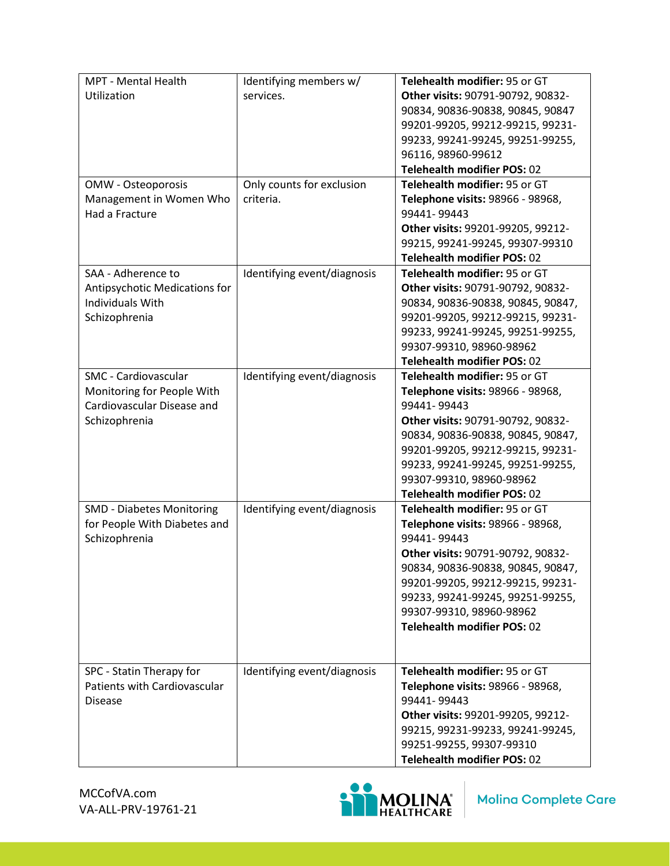| MPT - Mental Health              | Identifying members w/      | Telehealth modifier: 95 or GT     |
|----------------------------------|-----------------------------|-----------------------------------|
| Utilization                      | services.                   | Other visits: 90791-90792, 90832- |
|                                  |                             | 90834, 90836-90838, 90845, 90847  |
|                                  |                             | 99201-99205, 99212-99215, 99231-  |
|                                  |                             | 99233, 99241-99245, 99251-99255,  |
|                                  |                             | 96116, 98960-99612                |
|                                  |                             | Telehealth modifier POS: 02       |
| OMW - Osteoporosis               | Only counts for exclusion   | Telehealth modifier: 95 or GT     |
| Management in Women Who          | criteria.                   | Telephone visits: 98966 - 98968,  |
| Had a Fracture                   |                             | 99441-99443                       |
|                                  |                             | Other visits: 99201-99205, 99212- |
|                                  |                             | 99215, 99241-99245, 99307-99310   |
|                                  |                             | Telehealth modifier POS: 02       |
| SAA - Adherence to               | Identifying event/diagnosis | Telehealth modifier: 95 or GT     |
| Antipsychotic Medications for    |                             | Other visits: 90791-90792, 90832- |
| <b>Individuals With</b>          |                             | 90834, 90836-90838, 90845, 90847, |
| Schizophrenia                    |                             | 99201-99205, 99212-99215, 99231-  |
|                                  |                             | 99233, 99241-99245, 99251-99255,  |
|                                  |                             | 99307-99310, 98960-98962          |
|                                  |                             | Telehealth modifier POS: 02       |
| <b>SMC</b> - Cardiovascular      | Identifying event/diagnosis | Telehealth modifier: 95 or GT     |
| Monitoring for People With       |                             | Telephone visits: 98966 - 98968,  |
| Cardiovascular Disease and       |                             | 99441-99443                       |
| Schizophrenia                    |                             | Other visits: 90791-90792, 90832- |
|                                  |                             | 90834, 90836-90838, 90845, 90847, |
|                                  |                             | 99201-99205, 99212-99215, 99231-  |
|                                  |                             | 99233, 99241-99245, 99251-99255,  |
|                                  |                             | 99307-99310, 98960-98962          |
|                                  |                             | Telehealth modifier POS: 02       |
| <b>SMD - Diabetes Monitoring</b> | Identifying event/diagnosis | Telehealth modifier: 95 or GT     |
| for People With Diabetes and     |                             | Telephone visits: 98966 - 98968,  |
| Schizophrenia                    |                             | 99441-99443                       |
|                                  |                             | Other visits: 90791-90792, 90832- |
|                                  |                             | 90834, 90836-90838, 90845, 90847, |
|                                  |                             | 99201-99205, 99212-99215, 99231-  |
|                                  |                             | 99233, 99241-99245, 99251-99255,  |
|                                  |                             | 99307-99310, 98960-98962          |
|                                  |                             | Telehealth modifier POS: 02       |
|                                  |                             |                                   |
|                                  |                             |                                   |
| SPC - Statin Therapy for         | Identifying event/diagnosis | Telehealth modifier: 95 or GT     |
| Patients with Cardiovascular     |                             | Telephone visits: 98966 - 98968,  |
| <b>Disease</b>                   |                             | 99441-99443                       |
|                                  |                             | Other visits: 99201-99205, 99212- |
|                                  |                             | 99215, 99231-99233, 99241-99245,  |
|                                  |                             | 99251-99255, 99307-99310          |
|                                  |                             | Telehealth modifier POS: 02       |